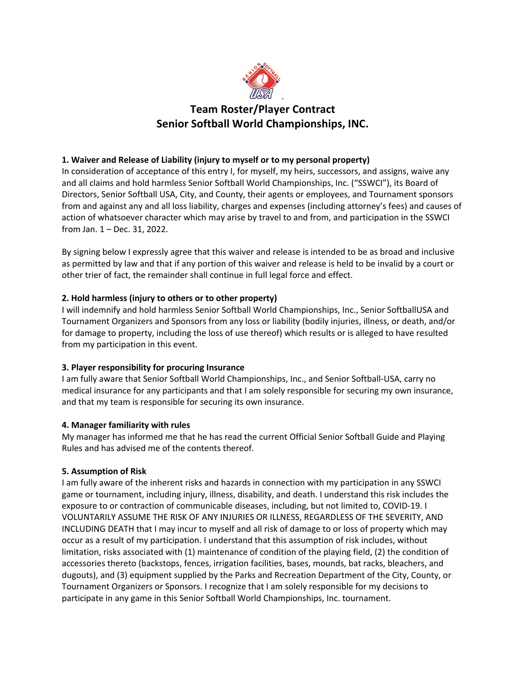

# **Team Roster/Player Contract Senior Softball World Championships, INC.**

## **1. Waiver and Release of Liability (injury to myself or to my personal property)**

In consideration of acceptance of this entry I, for myself, my heirs, successors, and assigns, waive any and all claims and hold harmless Senior Softball World Championships, Inc. ("SSWCI"), its Board of Directors, Senior Softball USA, City, and County, their agents or employees, and Tournament sponsors from and against any and all loss liability, charges and expenses (including attorney's fees) and causes of action of whatsoever character which may arise by travel to and from, and participation in the SSWCI from Jan. 1 – Dec. 31, 2022.

By signing below I expressly agree that this waiver and release is intended to be as broad and inclusive as permitted by law and that if any portion of this waiver and release is held to be invalid by a court or other trier of fact, the remainder shall continue in full legal force and effect.

## **2. Hold harmless (injury to others or to other property)**

I will indemnify and hold harmless Senior Softball World Championships, Inc., Senior SoftballUSA and Tournament Organizers and Sponsors from any loss or liability (bodily injuries, illness, or death, and/or for damage to property, including the loss of use thereof) which results or is alleged to have resulted from my participation in this event.

## **3. Player responsibility for procuring Insurance**

I am fully aware that Senior Softball World Championships, Inc., and Senior Softball-USA, carry no medical insurance for any participants and that I am solely responsible for securing my own insurance, and that my team is responsible for securing its own insurance.

### **4. Manager familiarity with rules**

My manager has informed me that he has read the current Official Senior Softball Guide and Playing Rules and has advised me of the contents thereof.

### **5. Assumption of Risk**

I am fully aware of the inherent risks and hazards in connection with my participation in any SSWCI game or tournament, including injury, illness, disability, and death. I understand this risk includes the exposure to or contraction of communicable diseases, including, but not limited to, COVID-19. I VOLUNTARILY ASSUME THE RISK OF ANY INJURIES OR ILLNESS, REGARDLESS OF THE SEVERITY, AND INCLUDING DEATH that I may incur to myself and all risk of damage to or loss of property which may occur as a result of my participation. I understand that this assumption of risk includes, without limitation, risks associated with (1) maintenance of condition of the playing field, (2) the condition of accessories thereto (backstops, fences, irrigation facilities, bases, mounds, bat racks, bleachers, and dugouts), and (3) equipment supplied by the Parks and Recreation Department of the City, County, or Tournament Organizers or Sponsors. I recognize that I am solely responsible for my decisions to participate in any game in this Senior Softball World Championships, Inc. tournament.